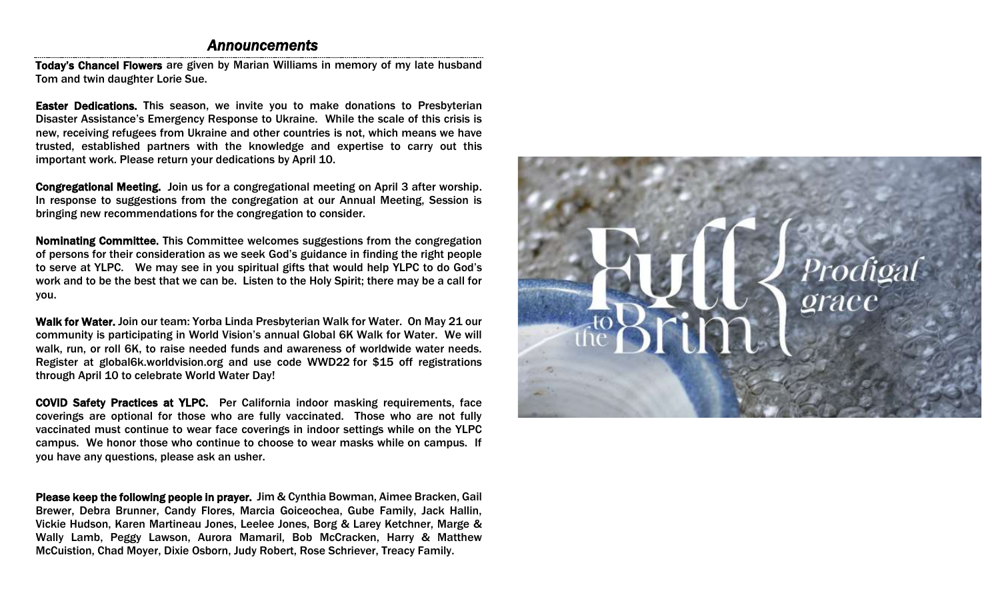## *Announcements*

Today's Chancel Flowers are given by Marian Williams in memory of my late husband Tom and twin daughter Lorie Sue.

Easter Dedications. This season, we invite you to make donations to Presbyterian Disaster Assistance's Emergency Response to Ukraine. While the scale of this crisis is new, receiving refugees from Ukraine and other countries is not, which means we have trusted, established partners with the knowledge and expertise to carry out this important work. Please return your dedications by April 10.

Congregational Meeting. Join us for a congregational meeting on April 3 after worship. In response to suggestions from the congregation at our Annual Meeting, Session is bringing new recommendations for the congregation to consider.

Nominating Committee. This Committee welcomes suggestions from the congregation of persons for their consideration as we seek God's guidance in finding the right people to serve at YLPC. We may see in you spiritual gifts that would help YLPC to do God's work and to be the best that we can be. Listen to the Holy Spirit; there may be a call for you.

Walk for Water. Join our team: Yorba Linda Presbyterian Walk for Water. On May 21 our community is participating in World Vision's annual Global 6K Walk for Water. We will walk, run, or roll 6K, to raise needed funds and awareness of worldwide water needs. Register at global6k.worldvision.org and use code WWD22 for \$15 off registrations through April 10 to celebrate World Water Day!

COVID Safety Practices at YLPC. Per California indoor masking requirements, face coverings are optional for those who are fully vaccinated. Those who are not fully vaccinated must continue to wear face coverings in indoor settings while on the YLPC campus. We honor those who continue to choose to wear masks while on campus. If you have any questions, please ask an usher.

Please keep the following people in prayer. Jim & Cynthia Bowman, Aimee Bracken, Gail Brewer, Debra Brunner, Candy Flores, Marcia Goiceochea, Gube Family, Jack Hallin, Vickie Hudson, Karen Martineau Jones, Leelee Jones, Borg & Larey Ketchner, Marge & Wally Lamb, Peggy Lawson, Aurora Mamaril, Bob McCracken, Harry & Matthew McCuistion, Chad Moyer, Dixie Osborn, Judy Robert, Rose Schriever, Treacy Family.

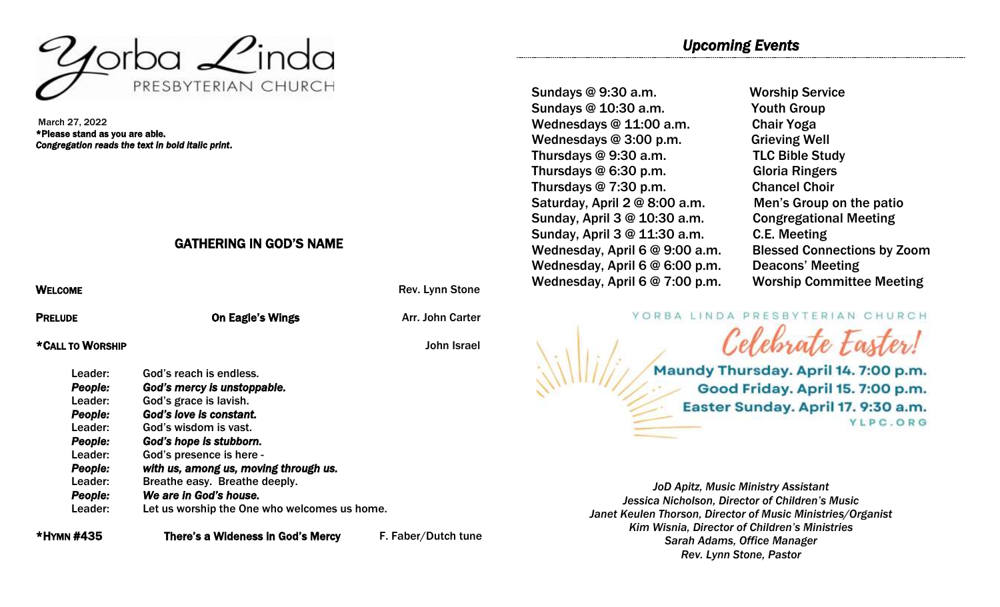

March 27, 2022 \*Please stand as you are able. *Congregation reads the text in bold italic print*.

## GATHERING IN GOD'S NAME

| <b>WELCOME</b>   |                                              | Rev. Lynn Stone     |
|------------------|----------------------------------------------|---------------------|
| <b>PRELUDE</b>   | <b>On Eagle's Wings</b>                      | Arr. John Carter    |
| *CALL TO WORSHIP |                                              | John Israel         |
| Leader:          | God's reach is endless.                      |                     |
| People:          | God's mercy is unstoppable.                  |                     |
| Leader:          | God's grace is lavish.                       |                     |
| People:          | God's love is constant.                      |                     |
| Leader:          | God's wisdom is vast.                        |                     |
| People:          | God's hope is stubborn.                      |                     |
| Leader:          | God's presence is here -                     |                     |
| <b>People:</b>   | with us, among us, moving through us.        |                     |
| Leader:          | Breathe easy. Breathe deeply.                |                     |
| People:          | We are in God's house.                       |                     |
| Leader:          | Let us worship the One who welcomes us home. |                     |
| *HYMN #435       | There's a Wideness in God's Mercv            | F. Faber/Dutch tune |

Sundays @ 9:30 a.m. Worship Service Sundays @ 10:30 a.m. Youth Group Wednesdays @ 11:00 a.m. Chair Yoga Wednesdays @ 3:00 p.m. Grieving Well Thursdays @ 9:30 a.m. TLC Bible Study Thursdays @ 6:30 p.m. Gloria Ringers Thursdays @ 7:30 p.m. Chancel Choir Saturday, April 2 @ 8:00 a.m. Men's Group on the patio Sunday, April 3 @ 10:30 a.m. Congregational Meeting Sunday, April 3 @ 11:30 a.m. C.E. Meeting Wednesday, April 6 @ 9:00 a.m. Blessed Connections by Zoom Wednesday, April 6 @ 6:00 p.m. Deacons' Meeting Wednesday, April 6 @ 7:00 p.m. Worship Committee Meeting

YORBA LINDA PRESBYTERIAN CHURCH

Maundy Thursday. April 14. 7:00 p.m. Good Friday. April 15. 7:00 p.m. Easter Sunday. April 17. 9:30 a.m. YLPC.ORG

Celebrate Easter!

*JoD Apitz, Music Ministry Assistant Jessica Nicholson, Director of Children's Music Janet Keulen Thorson, Director of Music Ministries/Organist Kim Wisnia, Director of Children's Ministries Sarah Adams, Office Manager Rev. Lynn Stone, Pastor*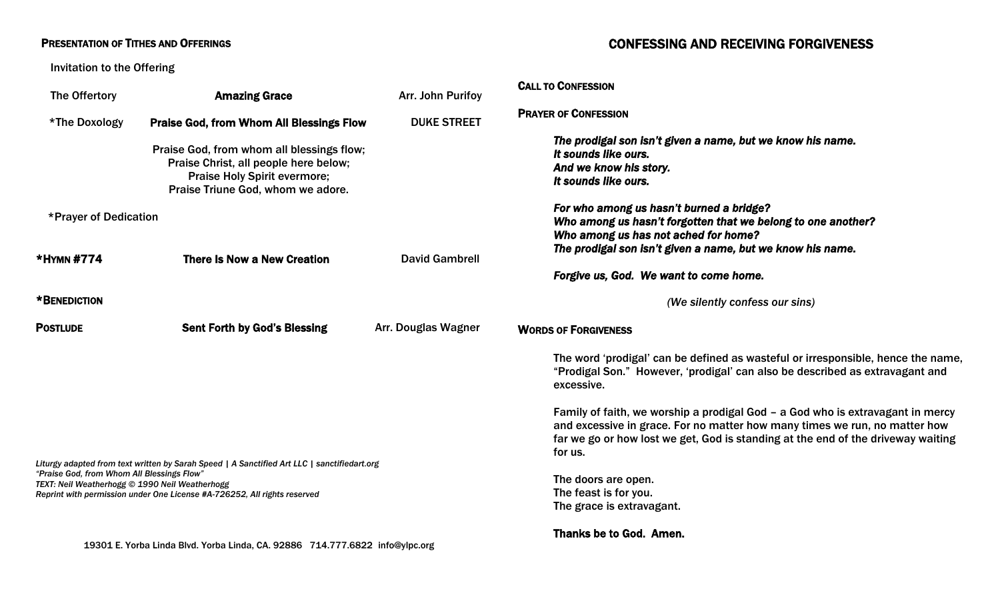## **PRESENTATION OF TITHES AND OFFERINGS**

## CONFESSING AND RECEIVING FORGIVENESS

Invitation to the Offering

| The Offertory                                                                                | <b>Amazing Grace</b>                                                                                                                                                    | Arr. John Purifoy     | <b>CALL TO CONFESSION</b>                                                                                                                                                                                                                                   |
|----------------------------------------------------------------------------------------------|-------------------------------------------------------------------------------------------------------------------------------------------------------------------------|-----------------------|-------------------------------------------------------------------------------------------------------------------------------------------------------------------------------------------------------------------------------------------------------------|
| *The Doxology                                                                                | <b>Praise God, from Whom All Blessings Flow</b>                                                                                                                         | <b>DUKE STREET</b>    | <b>PRAYER OF CONFESSION</b>                                                                                                                                                                                                                                 |
|                                                                                              | Praise God, from whom all blessings flow;<br>Praise Christ, all people here below;<br>Praise Holy Spirit evermore;<br>Praise Triune God, whom we adore.                 |                       | The prodigal son isn't given a name, but we know his name.<br>It sounds like ours.<br>And we know his story.<br>It sounds like ours.                                                                                                                        |
| *Prayer of Dedication                                                                        |                                                                                                                                                                         |                       | For who among us hasn't burned a bridge?<br>Who among us hasn't forgotten that we belong to one another?<br>Who among us has not ached for home?                                                                                                            |
| *HYMN #774                                                                                   | There Is Now a New Creation                                                                                                                                             | <b>David Gambrell</b> | The prodigal son isn't given a name, but we know his name.                                                                                                                                                                                                  |
|                                                                                              |                                                                                                                                                                         |                       | Forgive us, God. We want to come home.                                                                                                                                                                                                                      |
| *BENEDICTION                                                                                 |                                                                                                                                                                         |                       | (We silently confess our sins)                                                                                                                                                                                                                              |
| <b>POSTLUDE</b>                                                                              | <b>Sent Forth by God's Blessing</b>                                                                                                                                     | Arr. Douglas Wagner   | <b>WORDS OF FORGIVENESS</b>                                                                                                                                                                                                                                 |
|                                                                                              |                                                                                                                                                                         |                       | The word 'prodigal' can be defined as wasteful or irresponsible, hence the name,<br>"Prodigal Son." However, 'prodigal' can also be described as extravagant and                                                                                            |
|                                                                                              |                                                                                                                                                                         |                       | excessive.                                                                                                                                                                                                                                                  |
|                                                                                              |                                                                                                                                                                         |                       | Family of faith, we worship a prodigal God - a God who is extravagant in mercy<br>and excessive in grace. For no matter how many times we run, no matter how<br>far we go or how lost we get, God is standing at the end of the driveway waiting<br>for us. |
| "Praise God, from Whom All Blessings Flow"<br>TEXT: Neil Weatherhogg © 1990 Neil Weatherhogg | Liturgy adapted from text written by Sarah Speed   A Sanctified Art LLC   sanctifiedart.org<br>Reprint with permission under One License #A-726252, All rights reserved |                       | The doors are open.<br>The feast is for you.<br>The grace is extravagant.                                                                                                                                                                                   |
|                                                                                              | 19301 E. Yorba Linda Blvd. Yorba Linda, CA. 92886 714.777.6822 info@ylpc.org                                                                                            |                       | Thanks be to God. Amen.                                                                                                                                                                                                                                     |